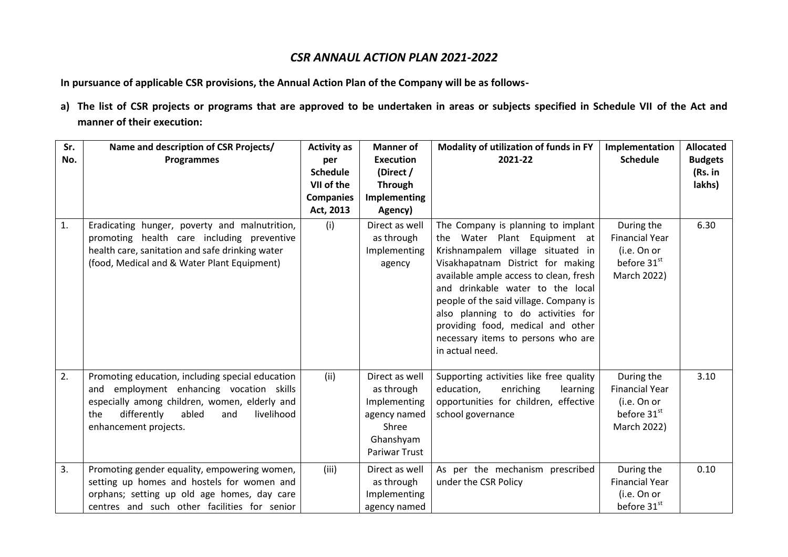# *CSR ANNAUL ACTION PLAN 2021-2022*

**In pursuance of applicable CSR provisions, the Annual Action Plan of the Company will be as follows-**

**a) The list of CSR projects or programs that are approved to be undertaken in areas or subjects specified in Schedule VII of the Act and manner of their execution:**

| Sr.<br>No. | Name and description of CSR Projects/<br>Programmes                                                                                                                                                                        | <b>Activity as</b><br>per     | <b>Manner of</b><br><b>Execution</b>                                                                | Modality of utilization of funds in FY<br>2021-22                                                                                                                                                                                                                                                                                                                                                        | Implementation<br><b>Schedule</b>                                                | <b>Allocated</b><br><b>Budgets</b> |
|------------|----------------------------------------------------------------------------------------------------------------------------------------------------------------------------------------------------------------------------|-------------------------------|-----------------------------------------------------------------------------------------------------|----------------------------------------------------------------------------------------------------------------------------------------------------------------------------------------------------------------------------------------------------------------------------------------------------------------------------------------------------------------------------------------------------------|----------------------------------------------------------------------------------|------------------------------------|
|            |                                                                                                                                                                                                                            | <b>Schedule</b>               | (Direct /                                                                                           |                                                                                                                                                                                                                                                                                                                                                                                                          |                                                                                  | (Rs. in                            |
|            |                                                                                                                                                                                                                            | VII of the                    | <b>Through</b>                                                                                      |                                                                                                                                                                                                                                                                                                                                                                                                          |                                                                                  | lakhs)                             |
|            |                                                                                                                                                                                                                            | <b>Companies</b><br>Act, 2013 | Implementing<br>Agency)                                                                             |                                                                                                                                                                                                                                                                                                                                                                                                          |                                                                                  |                                    |
| 1.         | Eradicating hunger, poverty and malnutrition,<br>promoting health care including preventive<br>health care, sanitation and safe drinking water<br>(food, Medical and & Water Plant Equipment)                              | (i)                           | Direct as well<br>as through<br>Implementing<br>agency                                              | The Company is planning to implant<br>the Water Plant Equipment at<br>Krishnampalem village situated in<br>Visakhapatnam District for making<br>available ample access to clean, fresh<br>and drinkable water to the local<br>people of the said village. Company is<br>also planning to do activities for<br>providing food, medical and other<br>necessary items to persons who are<br>in actual need. | During the<br><b>Financial Year</b><br>(i.e. On or<br>before 31st<br>March 2022) | 6.30                               |
| 2.         | Promoting education, including special education<br>and employment enhancing vocation skills<br>especially among children, women, elderly and<br>differently<br>abled<br>the<br>livelihood<br>and<br>enhancement projects. | (ii)                          | Direct as well<br>as through<br>Implementing<br>agency named<br>Shree<br>Ghanshyam<br>Pariwar Trust | Supporting activities like free quality<br>education,<br>enriching<br>learning<br>opportunities for children, effective<br>school governance                                                                                                                                                                                                                                                             | During the<br><b>Financial Year</b><br>(i.e. On or<br>before 31st<br>March 2022) | 3.10                               |
| 3.         | Promoting gender equality, empowering women,<br>setting up homes and hostels for women and<br>orphans; setting up old age homes, day care<br>centres and such other facilities for senior                                  | (iii)                         | Direct as well<br>as through<br>Implementing<br>agency named                                        | As per the mechanism prescribed<br>under the CSR Policy                                                                                                                                                                                                                                                                                                                                                  | During the<br><b>Financial Year</b><br>(i.e. On or<br>before 31st                | 0.10                               |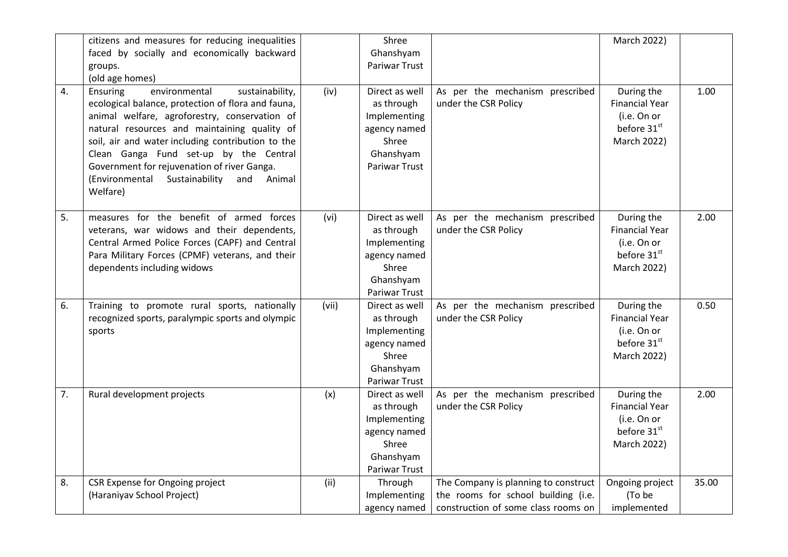|    | citizens and measures for reducing inequalities<br>faced by socially and economically backward<br>groups.<br>(old age homes)                                                                                                                                                                                                                                                                                 |       | Shree<br>Ghanshyam<br>Pariwar Trust                                                                        |                                                                                                                    | March 2022)                                                                                  |       |
|----|--------------------------------------------------------------------------------------------------------------------------------------------------------------------------------------------------------------------------------------------------------------------------------------------------------------------------------------------------------------------------------------------------------------|-------|------------------------------------------------------------------------------------------------------------|--------------------------------------------------------------------------------------------------------------------|----------------------------------------------------------------------------------------------|-------|
| 4. | Ensuring<br>environmental<br>sustainability,<br>ecological balance, protection of flora and fauna,<br>animal welfare, agroforestry, conservation of<br>natural resources and maintaining quality of<br>soil, air and water including contribution to the<br>Clean Ganga Fund set-up by the Central<br>Government for rejuvenation of river Ganga.<br>(Environmental Sustainability and<br>Animal<br>Welfare) | (iv)  | Direct as well<br>as through<br>Implementing<br>agency named<br>Shree<br>Ghanshyam<br><b>Pariwar Trust</b> | As per the mechanism prescribed<br>under the CSR Policy                                                            | During the<br><b>Financial Year</b><br>(i.e. On or<br>before 31st<br>March 2022)             | 1.00  |
| 5. | measures for the benefit of armed forces<br>veterans, war widows and their dependents,<br>Central Armed Police Forces (CAPF) and Central<br>Para Military Forces (CPMF) veterans, and their<br>dependents including widows                                                                                                                                                                                   | (vi)  | Direct as well<br>as through<br>Implementing<br>agency named<br>Shree<br>Ghanshyam<br>Pariwar Trust        | As per the mechanism prescribed<br>under the CSR Policy                                                            | During the<br><b>Financial Year</b><br>(i.e. On or<br>before 31st<br>March 2022)             | 2.00  |
| 6. | Training to promote rural sports, nationally<br>recognized sports, paralympic sports and olympic<br>sports                                                                                                                                                                                                                                                                                                   | (vii) | Direct as well<br>as through<br>Implementing<br>agency named<br>Shree<br>Ghanshyam<br>Pariwar Trust        | As per the mechanism prescribed<br>under the CSR Policy                                                            | During the<br><b>Financial Year</b><br>(i.e. On or<br>before 31 <sup>st</sup><br>March 2022) | 0.50  |
| 7. | Rural development projects                                                                                                                                                                                                                                                                                                                                                                                   | (x)   | Direct as well<br>as through<br>Implementing<br>agency named<br>Shree<br>Ghanshyam<br>Pariwar Trust        | As per the mechanism prescribed<br>under the CSR Policy                                                            | During the<br><b>Financial Year</b><br>(i.e. On or<br>before 31st<br>March 2022)             | 2.00  |
| 8. | CSR Expense for Ongoing project<br>(Haraniyav School Project)                                                                                                                                                                                                                                                                                                                                                | (ii)  | Through<br>Implementing<br>agency named                                                                    | The Company is planning to construct<br>the rooms for school building (i.e.<br>construction of some class rooms on | Ongoing project<br>(To be<br>implemented                                                     | 35.00 |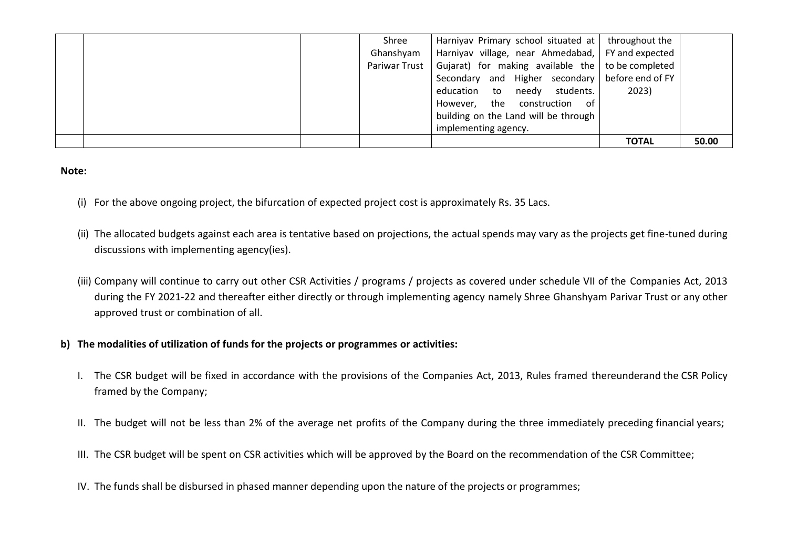|  | Shree         | Harniyav Primary school situated at                       | throughout the |       |
|--|---------------|-----------------------------------------------------------|----------------|-------|
|  | Ghanshyam     | Harniyav village, near Ahmedabad,   FY and expected       |                |       |
|  | Pariwar Trust | Gujarat) for making available the $\vert$ to be completed |                |       |
|  |               | Secondary and Higher secondary before end of FY           |                |       |
|  |               | education to needy<br>students.                           | 2023)          |       |
|  |               | However, the construction<br>ot -                         |                |       |
|  |               | building on the Land will be through                      |                |       |
|  |               | implementing agency.                                      |                |       |
|  |               |                                                           | <b>TOTAL</b>   | 50.00 |

#### **Note:**

- (i) For the above ongoing project, the bifurcation of expected project cost is approximately Rs. 35 Lacs.
- (ii) The allocated budgets against each area is tentative based on projections, the actual spends may vary as the projects get fine-tuned during discussions with implementing agency(ies).
- (iii) Company will continue to carry out other CSR Activities / programs / projects as covered under schedule VII of the Companies Act, 2013 during the FY 2021-22 and thereafter either directly or through implementing agency namely Shree Ghanshyam Parivar Trust or any other approved trust or combination of all.

## **b) The modalities of utilization of funds for the projects or programmes or activities:**

- I. The CSR budget will be fixed in accordance with the provisions of the Companies Act, 2013, Rules framed thereunderand the CSR Policy framed by the Company;
- II. The budget will not be less than 2% of the average net profits of the Company during the three immediately preceding financial years;
- III. The CSR budget will be spent on CSR activities which will be approved by the Board on the recommendation of the CSR Committee;
- IV. The funds shall be disbursed in phased manner depending upon the nature of the projects or programmes;